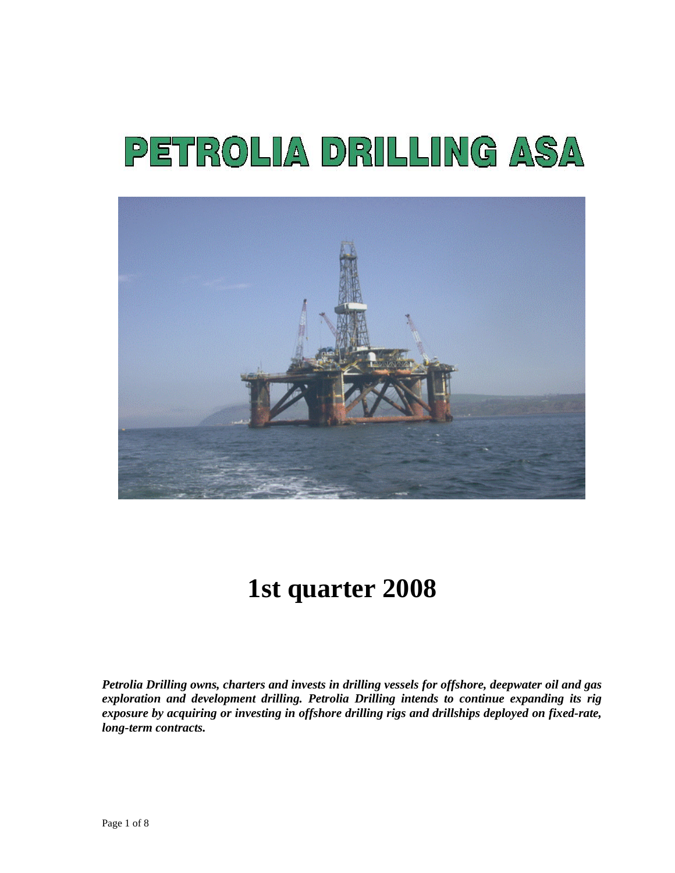# PETROLIA DRILLING ASA



# **1st quarter 2008**

*Petrolia Drilling owns, charters and invests in drilling vessels for offshore, deepwater oil and gas exploration and development drilling. Petrolia Drilling intends to continue expanding its rig exposure by acquiring or investing in offshore drilling rigs and drillships deployed on fixed-rate, long-term contracts.*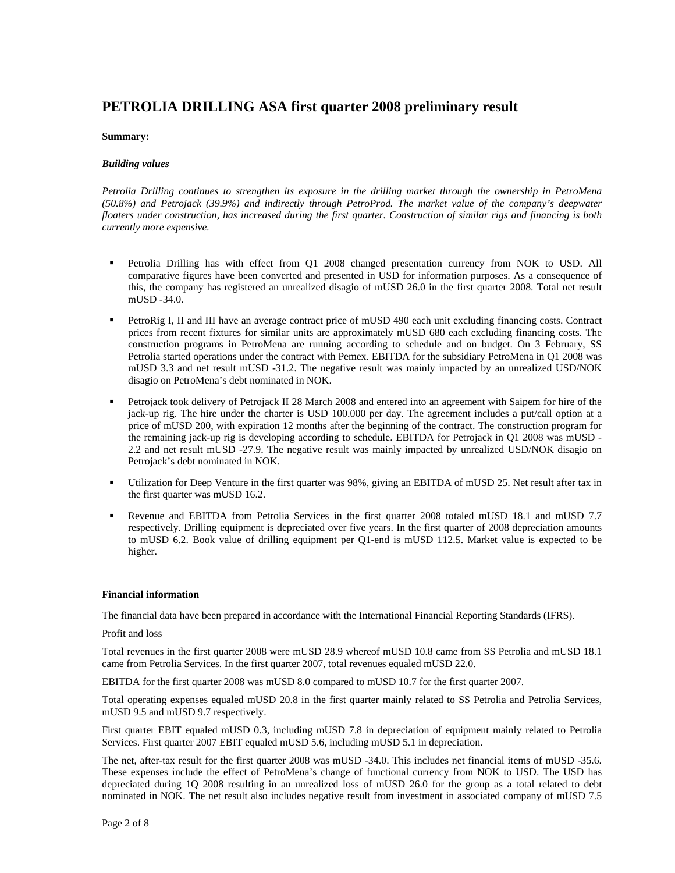#### **PETROLIA DRILLING ASA first quarter 2008 preliminary result**

#### **Summary:**

#### *Building values*

*Petrolia Drilling continues to strengthen its exposure in the drilling market through the ownership in PetroMena (50.8%) and Petrojack (39.9%) and indirectly through PetroProd. The market value of the company's deepwater floaters under construction, has increased during the first quarter. Construction of similar rigs and financing is both currently more expensive.* 

- Petrolia Drilling has with effect from Q1 2008 changed presentation currency from NOK to USD. All comparative figures have been converted and presented in USD for information purposes. As a consequence of this, the company has registered an unrealized disagio of mUSD 26.0 in the first quarter 2008. Total net result mUSD -34.0.
- PetroRig I, II and III have an average contract price of mUSD 490 each unit excluding financing costs. Contract prices from recent fixtures for similar units are approximately mUSD 680 each excluding financing costs. The construction programs in PetroMena are running according to schedule and on budget. On 3 February, SS Petrolia started operations under the contract with Pemex. EBITDA for the subsidiary PetroMena in Q1 2008 was mUSD 3.3 and net result mUSD -31.2. The negative result was mainly impacted by an unrealized USD/NOK disagio on PetroMena's debt nominated in NOK.
- Petrojack took delivery of Petrojack II 28 March 2008 and entered into an agreement with Saipem for hire of the jack-up rig. The hire under the charter is USD 100.000 per day. The agreement includes a put/call option at a price of mUSD 200, with expiration 12 months after the beginning of the contract. The construction program for the remaining jack-up rig is developing according to schedule. EBITDA for Petrojack in Q1 2008 was mUSD - 2.2 and net result mUSD -27.9. The negative result was mainly impacted by unrealized USD/NOK disagio on Petrojack's debt nominated in NOK.
- Utilization for Deep Venture in the first quarter was 98%, giving an EBITDA of mUSD 25. Net result after tax in the first quarter was mUSD 16.2.
- Revenue and EBITDA from Petrolia Services in the first quarter 2008 totaled mUSD 18.1 and mUSD 7.7 respectively. Drilling equipment is depreciated over five years. In the first quarter of 2008 depreciation amounts to mUSD 6.2. Book value of drilling equipment per Q1-end is mUSD 112.5. Market value is expected to be higher.

#### **Financial information**

The financial data have been prepared in accordance with the International Financial Reporting Standards (IFRS).

#### Profit and loss

Total revenues in the first quarter 2008 were mUSD 28.9 whereof mUSD 10.8 came from SS Petrolia and mUSD 18.1 came from Petrolia Services. In the first quarter 2007, total revenues equaled mUSD 22.0.

EBITDA for the first quarter 2008 was mUSD 8.0 compared to mUSD 10.7 for the first quarter 2007.

Total operating expenses equaled mUSD 20.8 in the first quarter mainly related to SS Petrolia and Petrolia Services, mUSD 9.5 and mUSD 9.7 respectively.

First quarter EBIT equaled mUSD 0.3, including mUSD 7.8 in depreciation of equipment mainly related to Petrolia Services. First quarter 2007 EBIT equaled mUSD 5.6, including mUSD 5.1 in depreciation.

The net, after-tax result for the first quarter 2008 was mUSD -34.0. This includes net financial items of mUSD -35.6. These expenses include the effect of PetroMena's change of functional currency from NOK to USD. The USD has depreciated during 1Q 2008 resulting in an unrealized loss of mUSD 26.0 for the group as a total related to debt nominated in NOK. The net result also includes negative result from investment in associated company of mUSD 7.5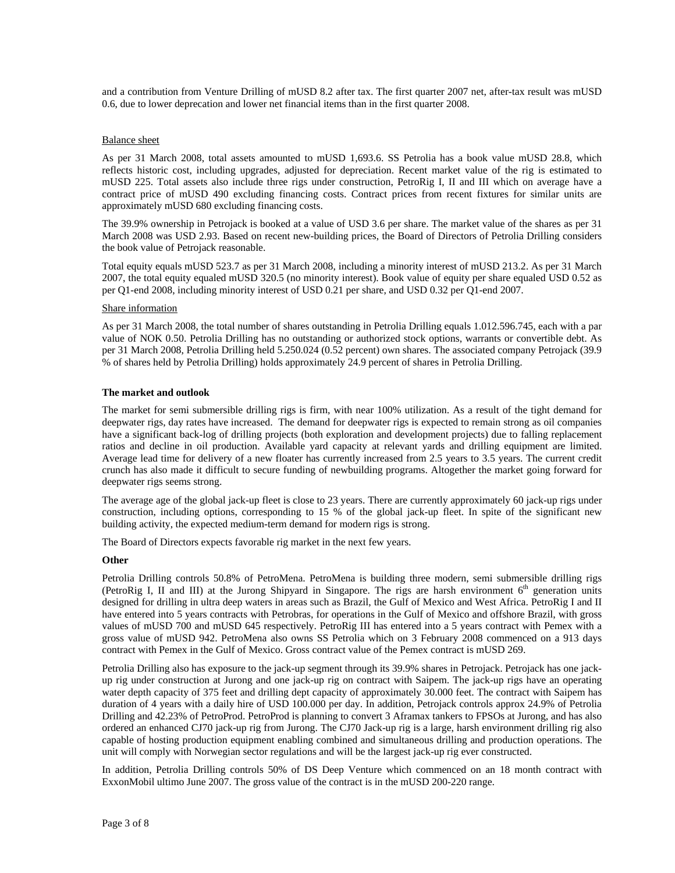and a contribution from Venture Drilling of mUSD 8.2 after tax. The first quarter 2007 net, after-tax result was mUSD 0.6, due to lower deprecation and lower net financial items than in the first quarter 2008.

#### Balance sheet

As per 31 March 2008, total assets amounted to mUSD 1,693.6. SS Petrolia has a book value mUSD 28.8, which reflects historic cost, including upgrades, adjusted for depreciation. Recent market value of the rig is estimated to mUSD 225. Total assets also include three rigs under construction, PetroRig I, II and III which on average have a contract price of mUSD 490 excluding financing costs. Contract prices from recent fixtures for similar units are approximately mUSD 680 excluding financing costs.

The 39.9% ownership in Petrojack is booked at a value of USD 3.6 per share. The market value of the shares as per 31 March 2008 was USD 2.93. Based on recent new-building prices, the Board of Directors of Petrolia Drilling considers the book value of Petrojack reasonable.

Total equity equals mUSD 523.7 as per 31 March 2008, including a minority interest of mUSD 213.2. As per 31 March 2007, the total equity equaled mUSD 320.5 (no minority interest). Book value of equity per share equaled USD 0.52 as per Q1-end 2008, including minority interest of USD 0.21 per share, and USD 0.32 per Q1-end 2007.

#### Share information

As per 31 March 2008, the total number of shares outstanding in Petrolia Drilling equals 1.012.596.745, each with a par value of NOK 0.50. Petrolia Drilling has no outstanding or authorized stock options, warrants or convertible debt. As per 31 March 2008, Petrolia Drilling held 5.250.024 (0.52 percent) own shares. The associated company Petrojack (39.9 % of shares held by Petrolia Drilling) holds approximately 24.9 percent of shares in Petrolia Drilling.

#### **The market and outlook**

The market for semi submersible drilling rigs is firm, with near 100% utilization. As a result of the tight demand for deepwater rigs, day rates have increased. The demand for deepwater rigs is expected to remain strong as oil companies have a significant back-log of drilling projects (both exploration and development projects) due to falling replacement ratios and decline in oil production. Available yard capacity at relevant yards and drilling equipment are limited. Average lead time for delivery of a new floater has currently increased from 2.5 years to 3.5 years. The current credit crunch has also made it difficult to secure funding of newbuilding programs. Altogether the market going forward for deepwater rigs seems strong.

The average age of the global jack-up fleet is close to 23 years. There are currently approximately 60 jack-up rigs under construction, including options, corresponding to 15 % of the global jack-up fleet. In spite of the significant new building activity, the expected medium-term demand for modern rigs is strong.

The Board of Directors expects favorable rig market in the next few years.

#### **Other**

Petrolia Drilling controls 50.8% of PetroMena. PetroMena is building three modern, semi submersible drilling rigs (PetroRig I, II and III) at the Jurong Shipyard in Singapore. The rigs are harsh environment  $6<sup>th</sup>$  generation units designed for drilling in ultra deep waters in areas such as Brazil, the Gulf of Mexico and West Africa. PetroRig I and II have entered into 5 years contracts with Petrobras, for operations in the Gulf of Mexico and offshore Brazil, with gross values of mUSD 700 and mUSD 645 respectively. PetroRig III has entered into a 5 years contract with Pemex with a gross value of mUSD 942. PetroMena also owns SS Petrolia which on 3 February 2008 commenced on a 913 days contract with Pemex in the Gulf of Mexico. Gross contract value of the Pemex contract is mUSD 269.

Petrolia Drilling also has exposure to the jack-up segment through its 39.9% shares in Petrojack. Petrojack has one jackup rig under construction at Jurong and one jack-up rig on contract with Saipem. The jack-up rigs have an operating water depth capacity of 375 feet and drilling dept capacity of approximately 30.000 feet. The contract with Saipem has duration of 4 years with a daily hire of USD 100.000 per day. In addition, Petrojack controls approx 24.9% of Petrolia Drilling and 42.23% of PetroProd. PetroProd is planning to convert 3 Aframax tankers to FPSOs at Jurong, and has also ordered an enhanced CJ70 jack-up rig from Jurong. The CJ70 Jack-up rig is a large, harsh environment drilling rig also capable of hosting production equipment enabling combined and simultaneous drilling and production operations. The unit will comply with Norwegian sector regulations and will be the largest jack-up rig ever constructed.

In addition, Petrolia Drilling controls 50% of DS Deep Venture which commenced on an 18 month contract with ExxonMobil ultimo June 2007. The gross value of the contract is in the mUSD 200-220 range.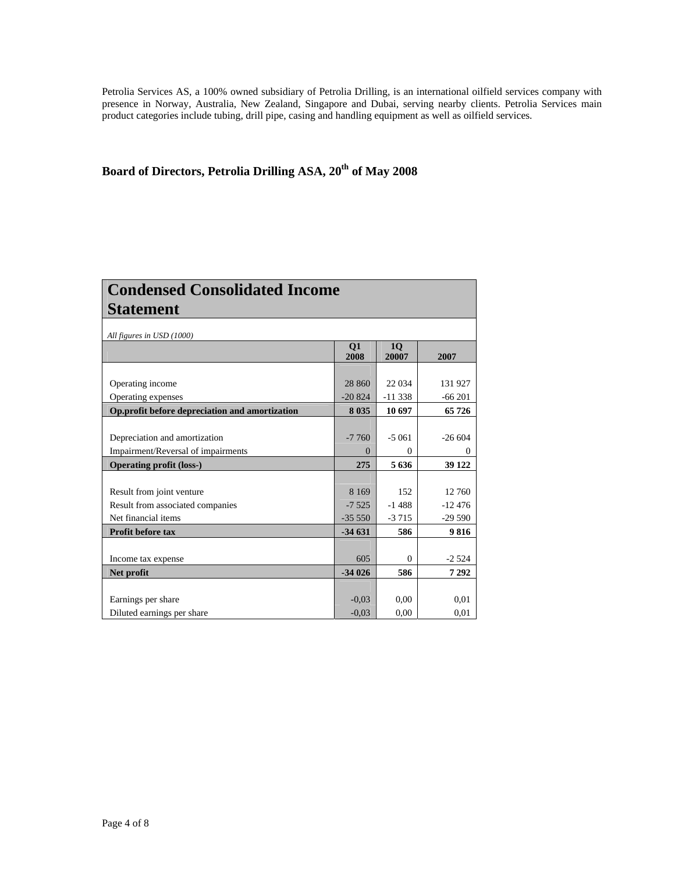Petrolia Services AS, a 100% owned subsidiary of Petrolia Drilling, is an international oilfield services company with presence in Norway, Australia, New Zealand, Singapore and Dubai, serving nearby clients. Petrolia Services main product categories include tubing, drill pipe, casing and handling equipment as well as oilfield services.

### Board of Directors, Petrolia Drilling ASA, 20<sup>th</sup> of May 2008

| <b>Condensed Consolidated Income</b>           |            |             |          |  |  |
|------------------------------------------------|------------|-------------|----------|--|--|
| <b>Statement</b>                               |            |             |          |  |  |
| All figures in USD (1000)                      |            |             |          |  |  |
|                                                | Q1<br>2008 | 10<br>20007 | 2007     |  |  |
|                                                |            |             |          |  |  |
| Operating income                               | 28 860     | 22 0 34     | 131 927  |  |  |
| Operating expenses                             | $-20824$   | $-11338$    | $-66201$ |  |  |
| Op.profit before depreciation and amortization | 8 0 3 5    | 10 697      | 65726    |  |  |
| Depreciation and amortization                  | $-7760$    | $-5.061$    | $-26604$ |  |  |
| Impairment/Reversal of impairments             | $\Omega$   | $\Omega$    |          |  |  |
| <b>Operating profit (loss-)</b>                | 275        | 5636        | 39 122   |  |  |
|                                                |            |             |          |  |  |
| Result from joint venture                      | 8 1 6 9    | 152         | 12 760   |  |  |
| Result from associated companies               | $-7,525$   | $-1488$     | $-12476$ |  |  |
| Net financial items                            | $-35550$   | $-3715$     | $-29590$ |  |  |
| <b>Profit before tax</b>                       | $-34631$   | 586         | 9816     |  |  |
|                                                |            |             |          |  |  |
| Income tax expense                             | 605        | $\Omega$    | $-2524$  |  |  |
| Net profit                                     | $-34026$   | 586         | 7292     |  |  |
|                                                |            |             |          |  |  |
| Earnings per share                             | $-0.03$    | 0.00        | 0,01     |  |  |
| Diluted earnings per share                     | $-0.03$    | 0,00        | 0,01     |  |  |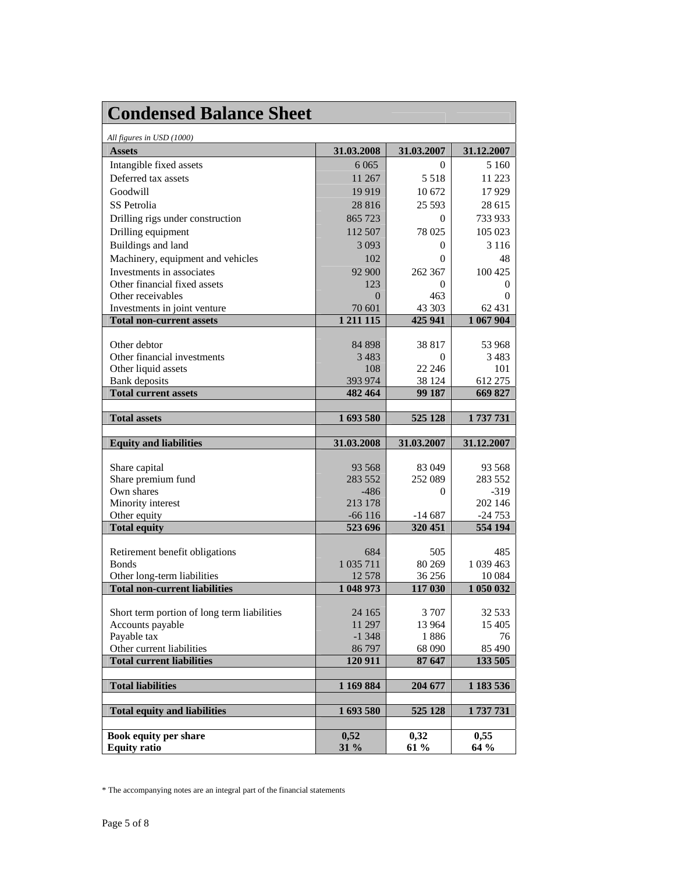| <b>Condensed Balance Sheet</b>                            |                     |                     |                     |
|-----------------------------------------------------------|---------------------|---------------------|---------------------|
| All figures in USD (1000)                                 |                     |                     |                     |
| <b>Assets</b>                                             | 31.03.2008          | 31.03.2007          | 31.12.2007          |
| Intangible fixed assets                                   | 6 0 6 5             | $\Omega$            | 5 1 6 0             |
| Deferred tax assets                                       | 11 267              | 5 5 1 8             | 11 223              |
| Goodwill                                                  | 19919               | 10 672              | 17929               |
| SS Petrolia                                               | 28 8 16             | 25 5 93             | 28 615              |
| Drilling rigs under construction                          | 865 723             | $\Omega$            | 733 933             |
| Drilling equipment                                        | 112 507             | 78 025              | 105 023             |
| Buildings and land                                        | 3 0 9 3             | $\Omega$            | 3 1 1 6             |
|                                                           |                     | 0                   | 48                  |
| Machinery, equipment and vehicles                         | 102                 |                     |                     |
| Investments in associates<br>Other financial fixed assets | 92 900<br>123       | 262 367<br>$\Omega$ | 100 425             |
| Other receivables                                         | $\Omega$            | 463                 | $\theta$<br>0       |
| Investments in joint venture                              | 70 601              | 43 303              | 62 431              |
| <b>Total non-current assets</b>                           | 1 2 1 1 1 1 5       | 425 941             | 1 067 904           |
|                                                           |                     |                     |                     |
| Other debtor                                              | 84 898              | 38 817              | 53 968              |
| Other financial investments                               | 3483                | $\Omega$            | 3483                |
| Other liquid assets                                       | 108                 | 22 24 6             | 101                 |
| <b>Bank</b> deposits                                      | 393 974             | 38 124              | 612 275             |
| <b>Total current assets</b>                               | 482 464             | 99 187              | 669 827             |
|                                                           |                     |                     |                     |
| <b>Total assets</b>                                       | 1693580             | 525 128             | 1737731             |
|                                                           |                     |                     |                     |
| <b>Equity and liabilities</b>                             | 31.03.2008          | 31.03.2007          | 31.12.2007          |
|                                                           |                     |                     |                     |
| Share capital                                             | 93 5 68             | 83 049              | 93 5 68             |
| Share premium fund                                        | 283 552             | 252 089             | 283 552             |
| Own shares                                                | $-486$              | $\Omega$            | $-319$              |
| Minority interest                                         | 213 178<br>$-66116$ |                     | 202 146<br>$-24753$ |
| Other equity<br><b>Total equity</b>                       | 523 696             | $-14687$<br>320 451 | 554 194             |
|                                                           |                     |                     |                     |
| Retirement benefit obligations                            | 684                 | 505                 | 485                 |
| <b>Bonds</b>                                              | 1 0 35 7 11         | 80 269              | 1 039 463           |
| Other long-term liabilities                               | 12 578              | 36 25 6             | 10 0 84             |
| <b>Total non-current liabilities</b>                      | 1 048 973           | 117 030             | 1 050 032           |
|                                                           |                     |                     |                     |
| Short term portion of long term liabilities               | 24 165              | 3 7 0 7             | 32 5 33             |
| Accounts payable                                          | 11 297              | 13 964              | 15 405              |
| Payable tax                                               | $-1348$             | 1886                | 76                  |
| Other current liabilities                                 | 86 797              | 68 090              | 85 490              |
| <b>Total current liabilities</b>                          | 120 911             | 87 647              | 133 505             |
| <b>Total liabilities</b>                                  | 1 169 884           | 204 677             | 1 183 536           |
|                                                           |                     |                     |                     |
| <b>Total equity and liabilities</b>                       | 1693580             | 525 128             | 1737731             |
| Book equity per share                                     | 0,52                | 0,32                | 0,55                |

<sup>\*</sup> The accompanying notes are an integral part of the financial statements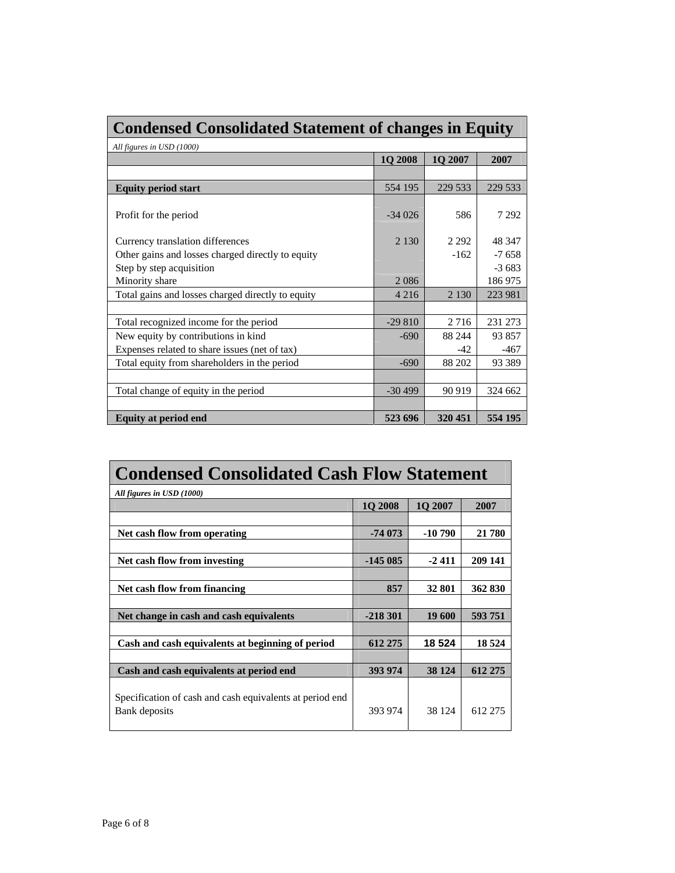| <b>Condensed Consolidated Statement of changes in Equity</b> |          |         |         |  |  |
|--------------------------------------------------------------|----------|---------|---------|--|--|
| All figures in USD (1000)                                    |          |         |         |  |  |
|                                                              | 1Q 2008  | 1Q 2007 | 2007    |  |  |
|                                                              |          |         |         |  |  |
| <b>Equity period start</b>                                   | 554 195  | 229 533 | 229 533 |  |  |
|                                                              |          |         |         |  |  |
| Profit for the period                                        | $-34026$ | 586     | 7 2 9 2 |  |  |
|                                                              |          |         |         |  |  |
| Currency translation differences                             | 2 1 3 0  | 2 2 9 2 | 48 347  |  |  |
| Other gains and losses charged directly to equity            |          | $-162$  | $-7658$ |  |  |
| Step by step acquisition                                     |          |         | $-3683$ |  |  |
| Minority share                                               | 2086     |         | 186975  |  |  |
| Total gains and losses charged directly to equity            | 4 2 1 6  | 2 1 3 0 | 223 981 |  |  |
|                                                              |          |         |         |  |  |
| Total recognized income for the period                       | $-29810$ | 2716    | 231 273 |  |  |
| New equity by contributions in kind                          | $-690$   | 88 244  | 93857   |  |  |
| Expenses related to share issues (net of tax)                |          | $-42$   | $-467$  |  |  |
| Total equity from shareholders in the period                 | $-690$   | 88 202  | 93 389  |  |  |
|                                                              |          |         |         |  |  |
| Total change of equity in the period                         | $-30499$ | 90 919  | 324 662 |  |  |
|                                                              |          |         |         |  |  |
| <b>Equity at period end</b>                                  | 523 696  | 320 451 | 554 195 |  |  |

| <b>Condensed Consolidated Cash Flow Statement</b>        |           |          |         |  |
|----------------------------------------------------------|-----------|----------|---------|--|
| All figures in USD (1000)                                |           |          |         |  |
|                                                          | 1Q 2008   | 1Q 2007  | 2007    |  |
|                                                          |           |          |         |  |
| Net cash flow from operating                             | $-74073$  | $-10790$ | 21 780  |  |
|                                                          |           |          |         |  |
| Net cash flow from investing                             | $-145085$ | $-2411$  | 209 141 |  |
|                                                          |           |          |         |  |
| Net cash flow from financing                             | 857       | 32 801   | 362 830 |  |
|                                                          |           |          |         |  |
| Net change in cash and cash equivalents                  | $-218301$ | 19 600   | 593751  |  |
|                                                          |           |          |         |  |
| Cash and cash equivalents at beginning of period         | 612 275   | 18 5 24  | 18 5 24 |  |
|                                                          |           |          |         |  |
| Cash and cash equivalents at period end                  | 393 974   | 38 1 24  | 612 275 |  |
|                                                          |           |          |         |  |
| Specification of cash and cash equivalents at period end |           |          |         |  |
| Bank deposits                                            | 393 974   | 38 124   | 612 275 |  |
|                                                          |           |          |         |  |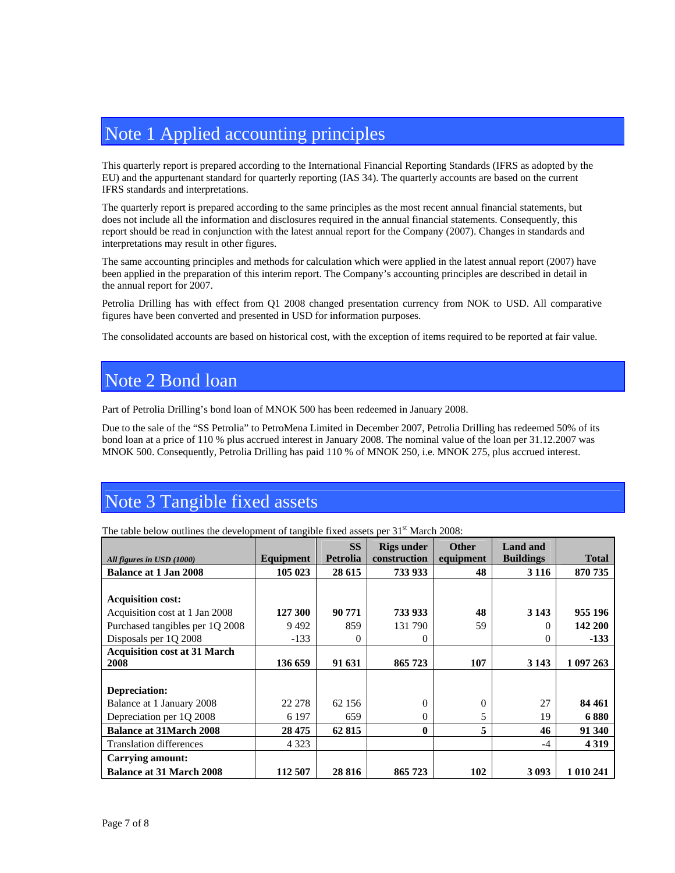## Note 1 Applied accounting principles

This quarterly report is prepared according to the International Financial Reporting Standards (IFRS as adopted by the EU) and the appurtenant standard for quarterly reporting (IAS 34). The quarterly accounts are based on the current IFRS standards and interpretations.

The quarterly report is prepared according to the same principles as the most recent annual financial statements, but does not include all the information and disclosures required in the annual financial statements. Consequently, this report should be read in conjunction with the latest annual report for the Company (2007). Changes in standards and interpretations may result in other figures.

The same accounting principles and methods for calculation which were applied in the latest annual report (2007) have been applied in the preparation of this interim report. The Company's accounting principles are described in detail in the annual report for 2007.

Petrolia Drilling has with effect from Q1 2008 changed presentation currency from NOK to USD. All comparative figures have been converted and presented in USD for information purposes.

The consolidated accounts are based on historical cost, with the exception of items required to be reported at fair value.

### Note 2 Bond loan

Part of Petrolia Drilling's bond loan of MNOK 500 has been redeemed in January 2008.

Due to the sale of the "SS Petrolia" to PetroMena Limited in December 2007, Petrolia Drilling has redeemed 50% of its bond loan at a price of 110 % plus accrued interest in January 2008. The nominal value of the loan per 31.12.2007 was MNOK 500. Consequently, Petrolia Drilling has paid 110 % of MNOK 250, i.e. MNOK 275, plus accrued interest.

### Note 3 Tangible fixed assets

|                                     |           | <b>SS</b> | <b>Rigs under</b> | <b>Other</b> | <b>Land and</b>  |              |
|-------------------------------------|-----------|-----------|-------------------|--------------|------------------|--------------|
| All figures in USD (1000)           | Equipment | Petrolia  | construction      | equipment    | <b>Buildings</b> | <b>Total</b> |
| <b>Balance at 1 Jan 2008</b>        | 105 023   | 28 615    | 733 933           | 48           | 3 1 1 6          | 870 735      |
|                                     |           |           |                   |              |                  |              |
| <b>Acquisition cost:</b>            |           |           |                   |              |                  |              |
| Acquisition cost at 1 Jan 2008      | 127 300   | 90 771    | 733 933           | 48           | 3 1 4 3          | 955 196      |
| Purchased tangibles per 1Q 2008     | 9492      | 859       | 131 790           | 59           |                  | 142 200      |
| Disposals per 1Q 2008               | $-133$    | $\Omega$  | 0                 |              | $\theta$         | $-133$       |
| <b>Acquisition cost at 31 March</b> |           |           |                   |              |                  |              |
| 2008                                | 136 659   | 91 631    | 865723            | 107          | 3 1 4 3          | 1 097 263    |
|                                     |           |           |                   |              |                  |              |
| Depreciation:                       |           |           |                   |              |                  |              |
| Balance at 1 January 2008           | 22 278    | 62 156    | $\Omega$          | $\Omega$     | 27               | 84 461       |
| Depreciation per 1Q 2008            | 6 1 9 7   | 659       | 0                 | 5            | 19               | 6880         |
| <b>Balance at 31 March 2008</b>     | 28 475    | 62 815    | $\mathbf{0}$      | 5            | 46               | 91 340       |
| <b>Translation differences</b>      | 4 3 2 3   |           |                   |              | -4               | 4 3 1 9      |
| Carrying amount:                    |           |           |                   |              |                  |              |
| <b>Balance at 31 March 2008</b>     | 112 507   | 28 8 16   | 865723            | 102          | 3 0 9 3          | 1 010 241    |

The table below outlines the development of tangible fixed assets per  $31<sup>st</sup>$  March 2008: